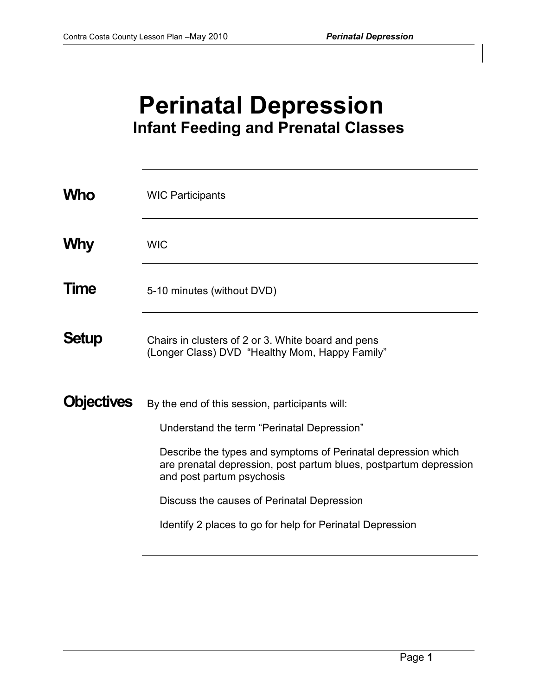# **Perinatal Depression Infant Feeding and Prenatal Classes**

| <b>Who</b>        | <b>WIC Participants</b>                                                                                                                                                                                                                                                                                                                                                    |
|-------------------|----------------------------------------------------------------------------------------------------------------------------------------------------------------------------------------------------------------------------------------------------------------------------------------------------------------------------------------------------------------------------|
| <b>Why</b>        | <b>WIC</b>                                                                                                                                                                                                                                                                                                                                                                 |
| Time              | 5-10 minutes (without DVD)                                                                                                                                                                                                                                                                                                                                                 |
| <b>Setup</b>      | Chairs in clusters of 2 or 3. White board and pens<br>(Longer Class) DVD "Healthy Mom, Happy Family"                                                                                                                                                                                                                                                                       |
| <b>Objectives</b> | By the end of this session, participants will:<br>Understand the term "Perinatal Depression"<br>Describe the types and symptoms of Perinatal depression which<br>are prenatal depression, post partum blues, postpartum depression<br>and post partum psychosis<br>Discuss the causes of Perinatal Depression<br>Identify 2 places to go for help for Perinatal Depression |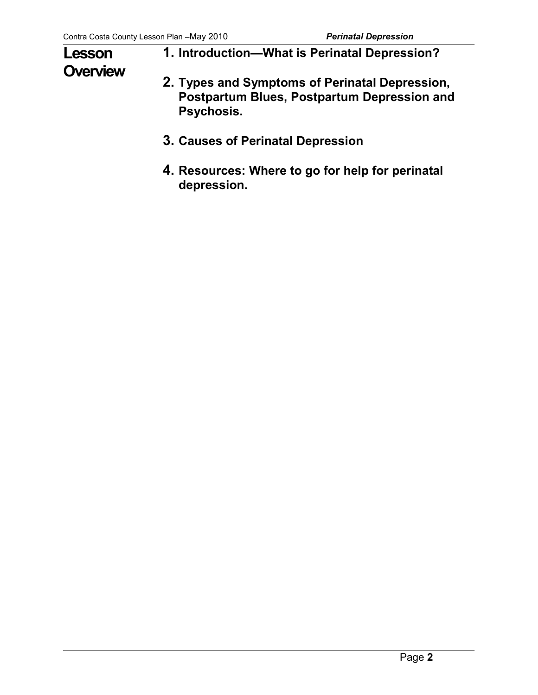# **Lesson Overview**

- **1. Introduction—What is Perinatal Depression?**
- **2. Types and Symptoms of Perinatal Depression, Postpartum Blues, Postpartum Depression and Psychosis.**
- **3. Causes of Perinatal Depression**
- **4. Resources: Where to go for help for perinatal depression.**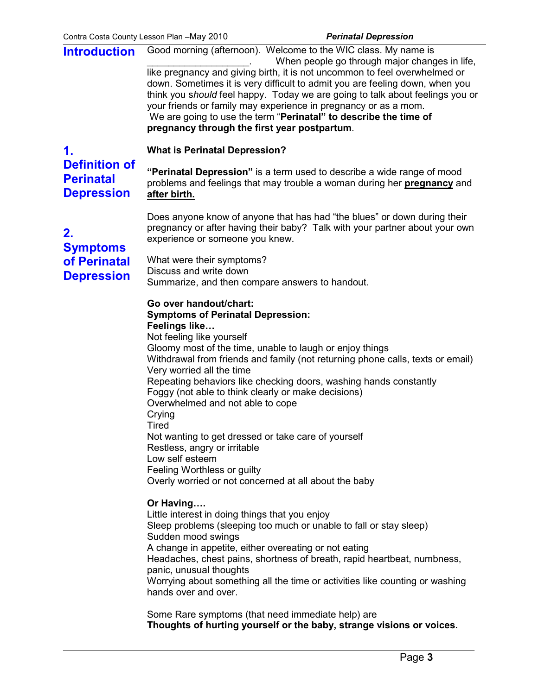**Introduction**  Good morning (afternoon). Welcome to the WIC class. My name is When people go through major changes in life, like pregnancy and giving birth, it is not uncommon to feel overwhelmed or down. Sometimes it is very difficult to admit you are feeling down, when you think you s*hould* feel happy. Today we are going to talk about feelings you or your friends or family may experience in pregnancy or as a mom. We are going to use the term "**Perinatal" to describe the time of pregnancy through the first year postpartum**.

**1. Definition of Perinatal** 

#### **What is Perinatal Depression?**

**"Perinatal Depression"** is a term used to describe a wide range of mood problems and feelings that may trouble a woman during her **pregnancy** and **after birth.**

Does anyone know of anyone that has had "the blues" or down during their pregnancy or after having their baby? Talk with your partner about your own experience or someone you knew.

**2. Symptoms of Perinatal Depression** 

**Depression** 

What were their symptoms? Discuss and write down Summarize, and then compare answers to handout.

## **Go over handout/chart:**

#### **Symptoms of Perinatal Depression: Feelings like…**

Not feeling like yourself Gloomy most of the time, unable to laugh or enjoy things Withdrawal from friends and family (not returning phone calls, texts or email) Very worried all the time Repeating behaviors like checking doors, washing hands constantly Foggy (not able to think clearly or make decisions) Overwhelmed and not able to cope **Crying Tired** Not wanting to get dressed or take care of yourself Restless, angry or irritable Low self esteem Feeling Worthless or guilty Overly worried or not concerned at all about the baby

### **Or Having….**

Little interest in doing things that you enjoy Sleep problems (sleeping too much or unable to fall or stay sleep) Sudden mood swings A change in appetite, either overeating or not eating Headaches, chest pains, shortness of breath, rapid heartbeat, numbness, panic, unusual thoughts Worrying about something all the time or activities like counting or washing hands over and over.

Some Rare symptoms (that need immediate help) are **Thoughts of hurting yourself or the baby, strange visions or voices.**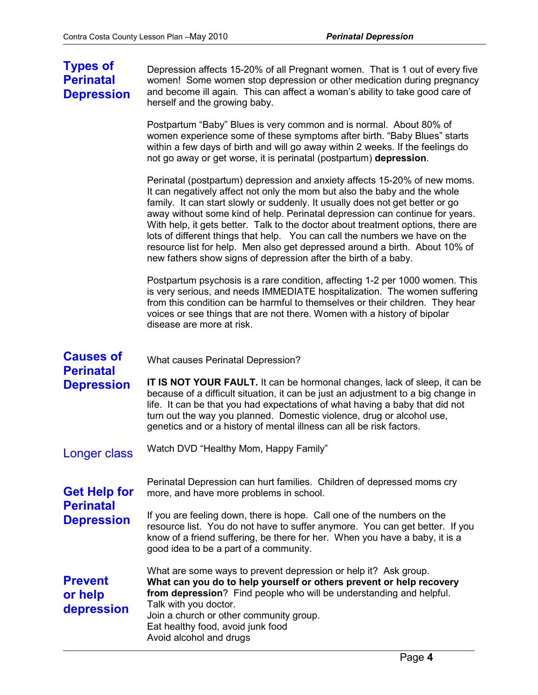# **Types of Perinatal Depression**

Depression affects 15-20% of all Pregnant women. That is 1 out of every five women! Some women stop depression or other medication during pregnancy and become ill again. This can affect a woman's ability to take good care of herself and the growing baby.

Postpartum "Baby" Blues is very common and is normal. About 80% of women experience some of these symptoms after birth. "Baby Blues" starts within a few days of birth and will go away within 2 weeks. If the feelings do not go away or get worse, it is perinatal (postpartum) **depression**.

Perinatal (postpartum) depression and anxiety affects 15-20% of new moms. It can negatively affect not only the mom but also the baby and the whole family. It can start slowly or suddenly. It usually does not get better or go away without some kind of help. Perinatal depression can continue for years. With help, it gets better. Talk to the doctor about treatment options, there are lots of different things that help. You can call the numbers we have on the resource list for help. Men also get depressed around a birth. About 10% of new fathers show signs of depression after the birth of a baby.

Postpartum psychosis is a rare condition, affecting 1-2 per 1000 women. This is very serious, and needs IMMEDIATE hospitalization. The women suffering from this condition can be harmful to themselves or their children. They hear voices or see things that are not there. Women with a history of bipolar disease are more at risk.

| <b>Causes of</b><br><b>Perinatal</b>                         | What causes Perinatal Depression?                                                                                                                                                                                                                                                                                                                                                                       |
|--------------------------------------------------------------|---------------------------------------------------------------------------------------------------------------------------------------------------------------------------------------------------------------------------------------------------------------------------------------------------------------------------------------------------------------------------------------------------------|
| <b>Depression</b>                                            | <b>IT IS NOT YOUR FAULT.</b> It can be hormonal changes, lack of sleep, it can be<br>because of a difficult situation, it can be just an adjustment to a big change in<br>life. It can be that you had expectations of what having a baby that did not<br>turn out the way you planned. Domestic violence, drug or alcohol use,<br>genetics and or a history of mental illness can all be risk factors. |
| <b>Longer class</b>                                          | Watch DVD "Healthy Mom, Happy Family"                                                                                                                                                                                                                                                                                                                                                                   |
| <b>Get Help for</b><br><b>Perinatal</b><br><b>Depression</b> | Perinatal Depression can hurt families. Children of depressed moms cry<br>more, and have more problems in school.                                                                                                                                                                                                                                                                                       |
|                                                              | If you are feeling down, there is hope. Call one of the numbers on the<br>resource list. You do not have to suffer anymore. You can get better. If you<br>know of a friend suffering, be there for her. When you have a baby, it is a<br>good idea to be a part of a community.                                                                                                                         |
| <b>Prevent</b><br>or help<br>depression                      | What are some ways to prevent depression or help it? Ask group.<br>What can you do to help yourself or others prevent or help recovery<br>from depression? Find people who will be understanding and helpful.<br>Talk with you doctor.<br>Join a church or other community group.<br>Eat healthy food, avoid junk food<br>Avoid alcohol and drugs                                                       |